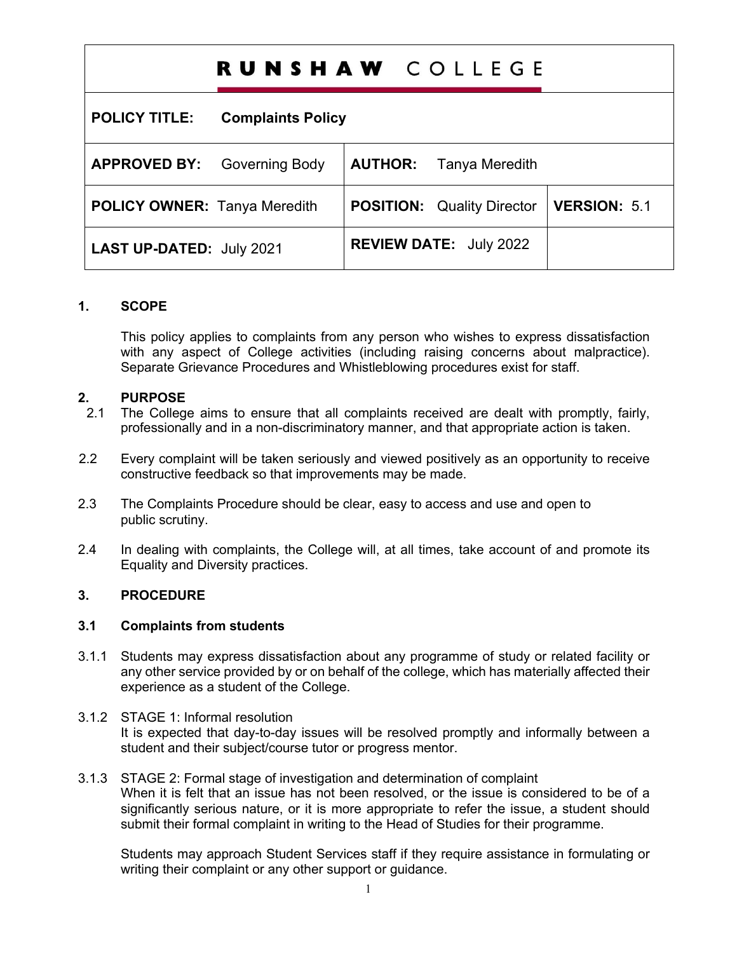# RUNSHAW COLLEGE

**POLICY TITLE: Complaints Policy**

| <b>APPROVED BY:</b> Governing Body  | Tanya Meredith<br><b>AUTHOR:</b>                 |  |
|-------------------------------------|--------------------------------------------------|--|
| <b>POLICY OWNER: Tanya Meredith</b> | <b>POSITION:</b> Quality Director   VERSION: 5.1 |  |
| <b>LAST UP-DATED: July 2021</b>     | <b>REVIEW DATE: July 2022</b>                    |  |

# **1. SCOPE**

This policy applies to complaints from any person who wishes to express dissatisfaction with any aspect of College activities (including raising concerns about malpractice). Separate Grievance Procedures and Whistleblowing procedures exist for staff.

# **2. PURPOSE**

- 2.1 The College aims to ensure that all complaints received are dealt with promptly, fairly, professionally and in a non-discriminatory manner, and that appropriate action is taken.
- 2.2 Every complaint will be taken seriously and viewed positively as an opportunity to receive constructive feedback so that improvements may be made.
- 2.3 The Complaints Procedure should be clear, easy to access and use and open to public scrutiny.
- 2.4 In dealing with complaints, the College will, at all times, take account of and promote its Equality and Diversity practices.

# **3. PROCEDURE**

# **3.1 Complaints from students**

- 3.1.1 Students may express dissatisfaction about any programme of study or related facility or any other service provided by or on behalf of the college, which has materially affected their experience as a student of the College.
- 3.1.2 STAGE 1: Informal resolution It is expected that day-to-day issues will be resolved promptly and informally between a student and their subject/course tutor or progress mentor.
- 3.1.3 STAGE 2: Formal stage of investigation and determination of complaint When it is felt that an issue has not been resolved, or the issue is considered to be of a significantly serious nature, or it is more appropriate to refer the issue, a student should submit their formal complaint in writing to the Head of Studies for their programme.

Students may approach Student Services staff if they require assistance in formulating or writing their complaint or any other support or guidance.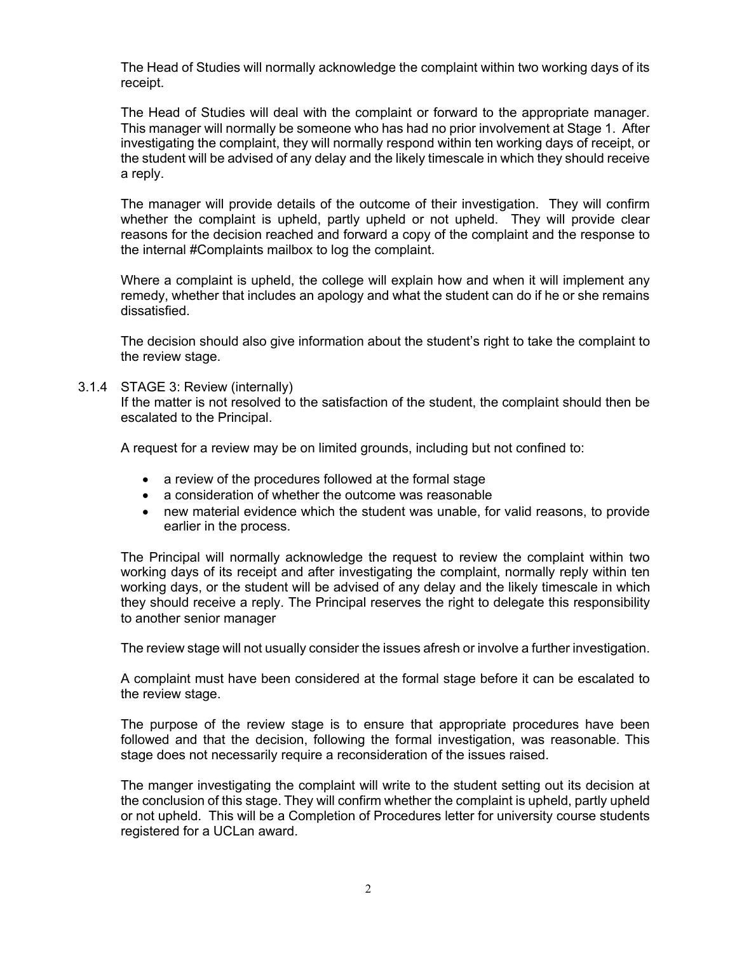The Head of Studies will normally acknowledge the complaint within two working days of its receipt.

The Head of Studies will deal with the complaint or forward to the appropriate manager. This manager will normally be someone who has had no prior involvement at Stage 1. After investigating the complaint, they will normally respond within ten working days of receipt, or the student will be advised of any delay and the likely timescale in which they should receive a reply.

The manager will provide details of the outcome of their investigation. They will confirm whether the complaint is upheld, partly upheld or not upheld. They will provide clear reasons for the decision reached and forward a copy of the complaint and the response to the internal #Complaints mailbox to log the complaint.

Where a complaint is upheld, the college will explain how and when it will implement any remedy, whether that includes an apology and what the student can do if he or she remains dissatisfied.

The decision should also give information about the student's right to take the complaint to the review stage.

3.1.4 STAGE 3: Review (internally)

If the matter is not resolved to the satisfaction of the student, the complaint should then be escalated to the Principal.

A request for a review may be on limited grounds, including but not confined to:

- a review of the procedures followed at the formal stage
- a consideration of whether the outcome was reasonable
- new material evidence which the student was unable, for valid reasons, to provide earlier in the process.

The Principal will normally acknowledge the request to review the complaint within two working days of its receipt and after investigating the complaint, normally reply within ten working days, or the student will be advised of any delay and the likely timescale in which they should receive a reply. The Principal reserves the right to delegate this responsibility to another senior manager

The review stage will not usually consider the issues afresh or involve a further investigation.

A complaint must have been considered at the formal stage before it can be escalated to the review stage.

The purpose of the review stage is to ensure that appropriate procedures have been followed and that the decision, following the formal investigation, was reasonable. This stage does not necessarily require a reconsideration of the issues raised.

The manger investigating the complaint will write to the student setting out its decision at the conclusion of this stage. They will confirm whether the complaint is upheld, partly upheld or not upheld. This will be a Completion of Procedures letter for university course students registered for a UCLan award.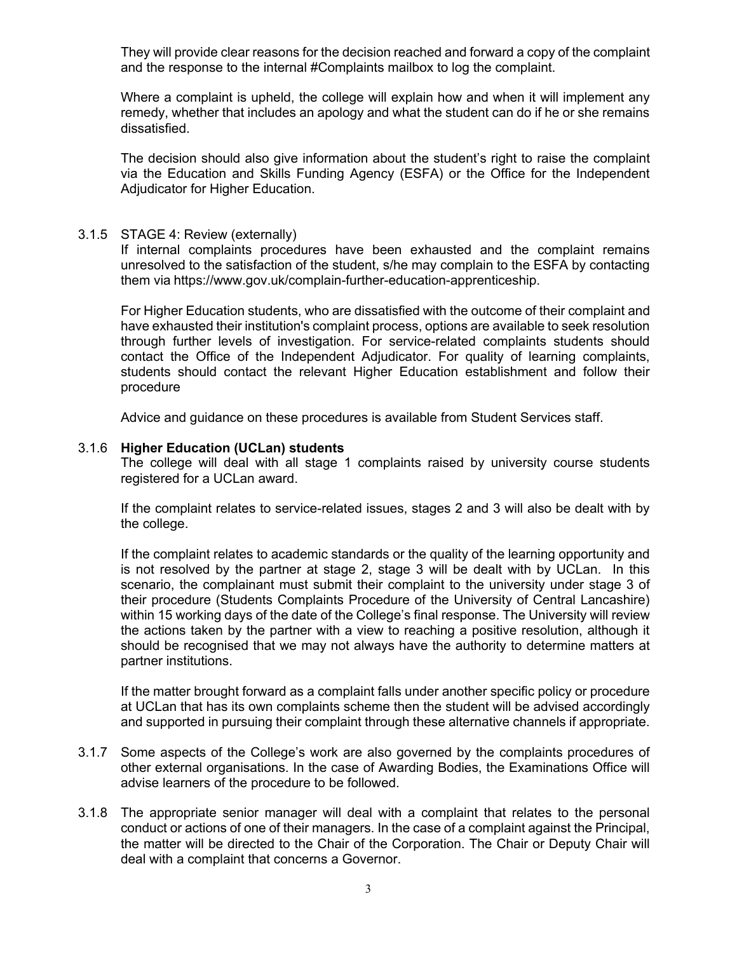They will provide clear reasons for the decision reached and forward a copy of the complaint and the response to the internal #Complaints mailbox to log the complaint.

Where a complaint is upheld, the college will explain how and when it will implement any remedy, whether that includes an apology and what the student can do if he or she remains dissatisfied.

The decision should also give information about the student's right to raise the complaint via the Education and Skills Funding Agency (ESFA) or the Office for the Independent Adjudicator for Higher Education.

#### 3.1.5 STAGE 4: Review (externally)

If internal complaints procedures have been exhausted and the complaint remains unresolved to the satisfaction of the student, s/he may complain to the ESFA by contacting them via https://www.gov.uk/complain-further-education-apprenticeship.

For Higher Education students, who are dissatisfied with the outcome of their complaint and have exhausted their institution's complaint process, options are available to seek resolution through further levels of investigation. For service-related complaints students should contact the Office of the Independent Adjudicator. For quality of learning complaints, students should contact the relevant Higher Education establishment and follow their procedure

Advice and guidance on these procedures is available from Student Services staff.

#### 3.1.6 **Higher Education (UCLan) students**

The college will deal with all stage 1 complaints raised by university course students registered for a UCLan award.

If the complaint relates to service-related issues, stages 2 and 3 will also be dealt with by the college.

If the complaint relates to academic standards or the quality of the learning opportunity and is not resolved by the partner at stage 2, stage 3 will be dealt with by UCLan. In this scenario, the complainant must submit their complaint to the university under stage 3 of their procedure (Students Complaints Procedure of the University of Central Lancashire) within 15 working days of the date of the College's final response. The University will review the actions taken by the partner with a view to reaching a positive resolution, although it should be recognised that we may not always have the authority to determine matters at partner institutions.

If the matter brought forward as a complaint falls under another specific policy or procedure at UCLan that has its own complaints scheme then the student will be advised accordingly and supported in pursuing their complaint through these alternative channels if appropriate.

- 3.1.7 Some aspects of the College's work are also governed by the complaints procedures of other external organisations. In the case of Awarding Bodies, the Examinations Office will advise learners of the procedure to be followed.
- 3.1.8 The appropriate senior manager will deal with a complaint that relates to the personal conduct or actions of one of their managers. In the case of a complaint against the Principal, the matter will be directed to the Chair of the Corporation. The Chair or Deputy Chair will deal with a complaint that concerns a Governor.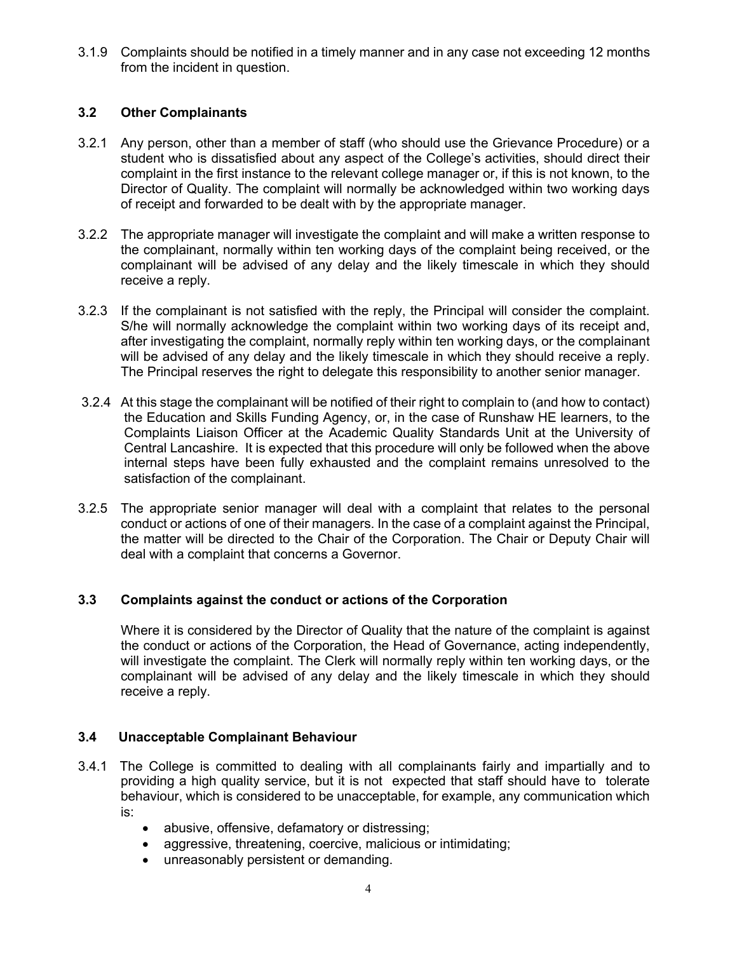3.1.9 Complaints should be notified in a timely manner and in any case not exceeding 12 months from the incident in question.

# **3.2 Other Complainants**

- 3.2.1 Any person, other than a member of staff (who should use the Grievance Procedure) or a student who is dissatisfied about any aspect of the College's activities, should direct their complaint in the first instance to the relevant college manager or, if this is not known, to the Director of Quality. The complaint will normally be acknowledged within two working days of receipt and forwarded to be dealt with by the appropriate manager.
- 3.2.2 The appropriate manager will investigate the complaint and will make a written response to the complainant, normally within ten working days of the complaint being received, or the complainant will be advised of any delay and the likely timescale in which they should receive a reply.
- 3.2.3 If the complainant is not satisfied with the reply, the Principal will consider the complaint. S/he will normally acknowledge the complaint within two working days of its receipt and, after investigating the complaint, normally reply within ten working days, or the complainant will be advised of any delay and the likely timescale in which they should receive a reply. The Principal reserves the right to delegate this responsibility to another senior manager.
- 3.2.4 At this stage the complainant will be notified of their right to complain to (and how to contact) the Education and Skills Funding Agency, or, in the case of Runshaw HE learners, to the Complaints Liaison Officer at the Academic Quality Standards Unit at the University of Central Lancashire. It is expected that this procedure will only be followed when the above internal steps have been fully exhausted and the complaint remains unresolved to the satisfaction of the complainant.
- 3.2.5 The appropriate senior manager will deal with a complaint that relates to the personal conduct or actions of one of their managers. In the case of a complaint against the Principal, the matter will be directed to the Chair of the Corporation. The Chair or Deputy Chair will deal with a complaint that concerns a Governor.

# **3.3 Complaints against the conduct or actions of the Corporation**

Where it is considered by the Director of Quality that the nature of the complaint is against the conduct or actions of the Corporation, the Head of Governance, acting independently, will investigate the complaint. The Clerk will normally reply within ten working days, or the complainant will be advised of any delay and the likely timescale in which they should receive a reply.

# **3.4 Unacceptable Complainant Behaviour**

- 3.4.1 The College is committed to dealing with all complainants fairly and impartially and to providing a high quality service, but it is not expected that staff should have to tolerate behaviour, which is considered to be unacceptable, for example, any communication which is:
	- abusive, offensive, defamatory or distressing;
	- aggressive, threatening, coercive, malicious or intimidating;
	- unreasonably persistent or demanding.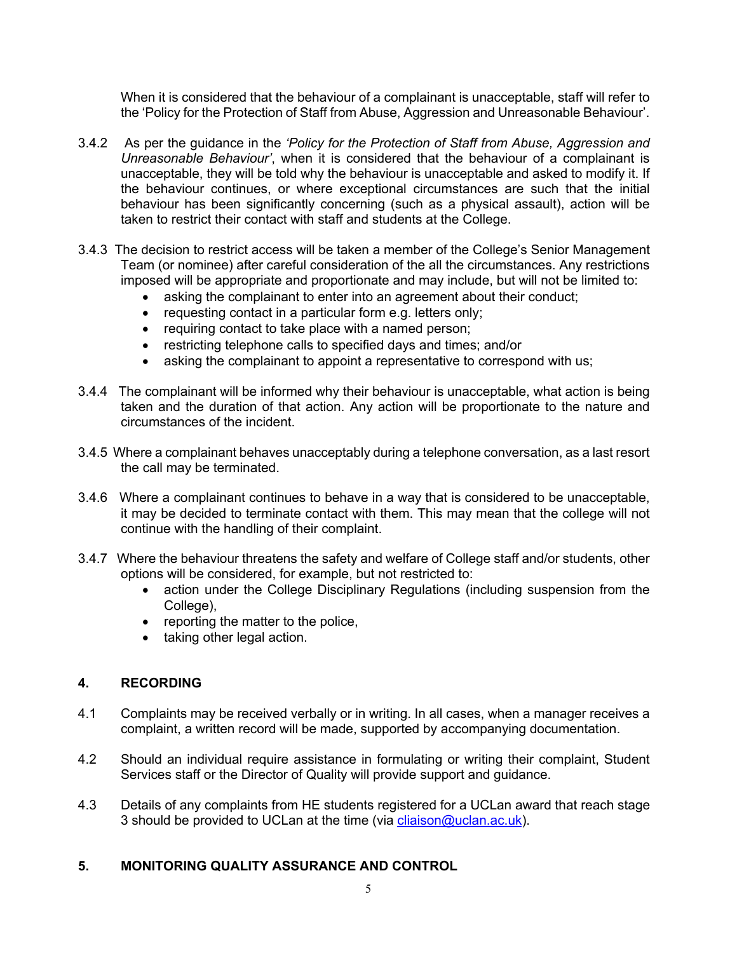When it is considered that the behaviour of a complainant is unacceptable, staff will refer to the 'Policy for the Protection of Staff from Abuse, Aggression and Unreasonable Behaviour'.

- 3.4.2 As per the guidance in the *'Policy for the Protection of Staff from Abuse, Aggression and Unreasonable Behaviour'*, when it is considered that the behaviour of a complainant is unacceptable, they will be told why the behaviour is unacceptable and asked to modify it. If the behaviour continues, or where exceptional circumstances are such that the initial behaviour has been significantly concerning (such as a physical assault), action will be taken to restrict their contact with staff and students at the College.
- 3.4.3 The decision to restrict access will be taken a member of the College's Senior Management Team (or nominee) after careful consideration of the all the circumstances. Any restrictions imposed will be appropriate and proportionate and may include, but will not be limited to:
	- asking the complainant to enter into an agreement about their conduct;
	- requesting contact in a particular form e.g. letters only;
	- requiring contact to take place with a named person;
	- restricting telephone calls to specified days and times; and/or
	- asking the complainant to appoint a representative to correspond with us;
- 3.4.4 The complainant will be informed why their behaviour is unacceptable, what action is being taken and the duration of that action. Any action will be proportionate to the nature and circumstances of the incident.
- 3.4.5 Where a complainant behaves unacceptably during a telephone conversation, as a last resort the call may be terminated.
- 3.4.6 Where a complainant continues to behave in a way that is considered to be unacceptable, it may be decided to terminate contact with them. This may mean that the college will not continue with the handling of their complaint.
- 3.4.7 Where the behaviour threatens the safety and welfare of College staff and/or students, other options will be considered, for example, but not restricted to:
	- action under the College Disciplinary Regulations (including suspension from the College).
	- reporting the matter to the police,
	- taking other legal action.

# **4. RECORDING**

- 4.1 Complaints may be received verbally or in writing. In all cases, when a manager receives a complaint, a written record will be made, supported by accompanying documentation.
- 4.2 Should an individual require assistance in formulating or writing their complaint, Student Services staff or the Director of Quality will provide support and guidance.
- 4.3 Details of any complaints from HE students registered for a UCLan award that reach stage 3 should be provided to UCLan at the time (via cliaison@uclan.ac.uk).

# **5. MONITORING QUALITY ASSURANCE AND CONTROL**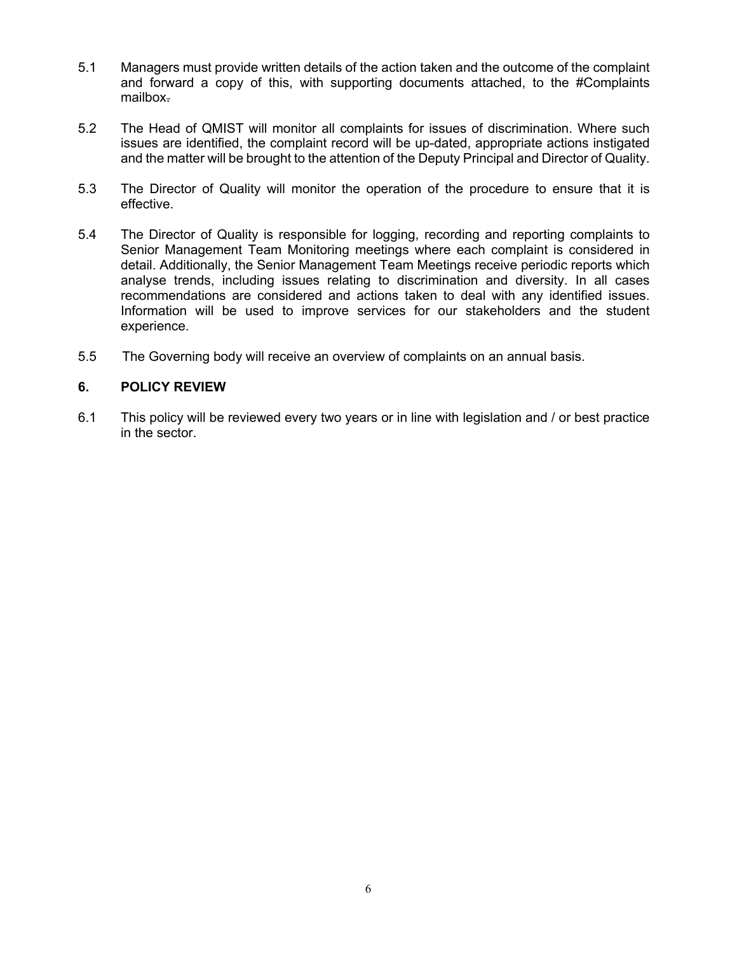- 5.1 Managers must provide written details of the action taken and the outcome of the complaint and forward a copy of this, with supporting documents attached, to the #Complaints mailbox.
- 5.2 The Head of QMIST will monitor all complaints for issues of discrimination. Where such issues are identified, the complaint record will be up-dated, appropriate actions instigated and the matter will be brought to the attention of the Deputy Principal and Director of Quality.
- 5.3 The Director of Quality will monitor the operation of the procedure to ensure that it is effective.
- 5.4 The Director of Quality is responsible for logging, recording and reporting complaints to Senior Management Team Monitoring meetings where each complaint is considered in detail. Additionally, the Senior Management Team Meetings receive periodic reports which analyse trends, including issues relating to discrimination and diversity. In all cases recommendations are considered and actions taken to deal with any identified issues. Information will be used to improve services for our stakeholders and the student experience.
- 5.5 The Governing body will receive an overview of complaints on an annual basis.

# **6. POLICY REVIEW**

6.1 This policy will be reviewed every two years or in line with legislation and / or best practice in the sector.